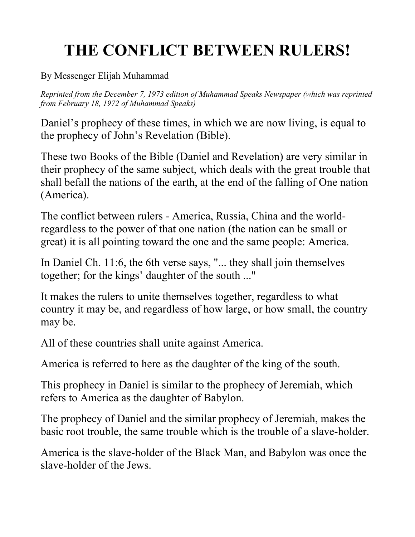## THE CONFLICT BETWEEN RULERS!

By Messenger Elijah Muhammad

Reprinted from the December 7, 1973 edition of Muhammad Speaks Newspaper (which was reprinted from February 18, 1972 of Muhammad Speaks)

Daniel's prophecy of these times, in which we are now living, is equal to the prophecy of John's Revelation (Bible).

These two Books of the Bible (Daniel and Revelation) are very similar in their prophecy of the same subject, which deals with the great trouble that shall befall the nations of the earth, at the end of the falling of One nation (America).

The conflict between rulers - America, Russia, China and the worldregardless to the power of that one nation (the nation can be small or great) it is all pointing toward the one and the same people: America.

In Daniel Ch. 11:6, the 6th verse says, "... they shall join themselves together; for the kings' daughter of the south ..."

It makes the rulers to unite themselves together, regardless to what country it may be, and regardless of how large, or how small, the country may be.

All of these countries shall unite against America.

America is referred to here as the daughter of the king of the south.

This prophecy in Daniel is similar to the prophecy of Jeremiah, which refers to America as the daughter of Babylon.

The prophecy of Daniel and the similar prophecy of Jeremiah, makes the basic root trouble, the same trouble which is the trouble of a slave-holder.

America is the slave-holder of the Black Man, and Babylon was once the slave-holder of the Jews.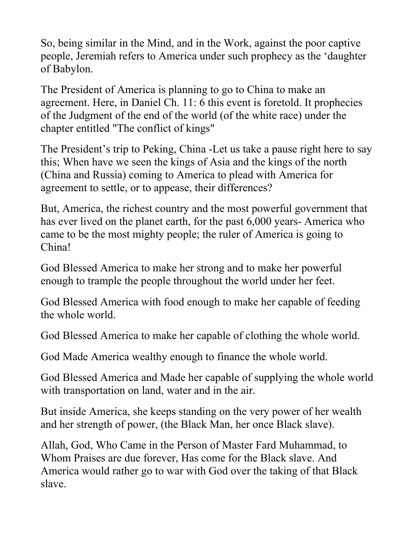So, being similar in the Mind, and in the Work, against the poor captive people, Jeremiah refers to America under such prophecy as the 'daughter of Babylon.

The President of America is planning to go to China to make an agreement. Here, in Daniel Ch. 11: 6 this event is foretold. It prophecies of the Judgment of the end of the world (of the white race) under the chapter entitled "The conflict of kings"

The President's trip to Peking, China -Let us take a pause right here to say this; When have we seen the kings of Asia and the kings of the north (China and Russia) coming to America to plead with America for agreement to settle, or to appease, their differences?

But, America, the richest country and the most powerful government that has ever lived on the planet earth, for the past 6,000 years- America who came to be the most mighty people; the ruler of America is going to China!

God Blessed America to make her strong and to make her powerful enough to trample the people throughout the world under her feet.

God Blessed America with food enough to make her capable of feeding the whole world.

God Blessed America to make her capable of clothing the whole world.

God Made America wealthy enough to finance the whole world.

God Blessed America and Made her capable of supplying the whole world with transportation on land, water and in the air.

But inside America, she keeps standing on the very power of her wealth and her strength of power, (the Black Man, her once Black slave).

Allah, God, Who Came in the Person of Master Fard Muhammad, to Whom Praises are due forever, Has come for the Black slave. And America would rather go to war with God over the taking of that Black slave.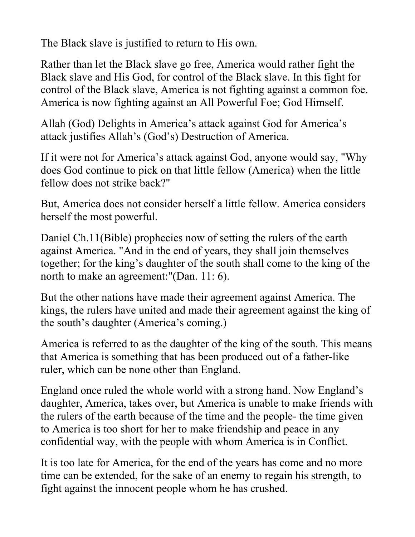The Black slave is justified to return to His own.

Rather than let the Black slave go free, America would rather fight the Black slave and His God, for control of the Black slave. In this fight for control of the Black slave, America is not fighting against a common foe. America is now fighting against an All Powerful Foe; God Himself.

Allah (God) Delights in America's attack against God for America's attack justifies Allah's (God's) Destruction of America.

If it were not for America's attack against God, anyone would say, "Why does God continue to pick on that little fellow (America) when the little fellow does not strike back?"

But, America does not consider herself a little fellow. America considers herself the most powerful.

Daniel Ch.11(Bible) prophecies now of setting the rulers of the earth against America. "And in the end of years, they shall join themselves together; for the king's daughter of the south shall come to the king of the north to make an agreement:"(Dan. 11: 6).

But the other nations have made their agreement against America. The kings, the rulers have united and made their agreement against the king of the south's daughter (America's coming.)

America is referred to as the daughter of the king of the south. This means that America is something that has been produced out of a father-like ruler, which can be none other than England.

England once ruled the whole world with a strong hand. Now England's daughter, America, takes over, but America is unable to make friends with the rulers of the earth because of the time and the people- the time given to America is too short for her to make friendship and peace in any confidential way, with the people with whom America is in Conflict.

It is too late for America, for the end of the years has come and no more time can be extended, for the sake of an enemy to regain his strength, to fight against the innocent people whom he has crushed.